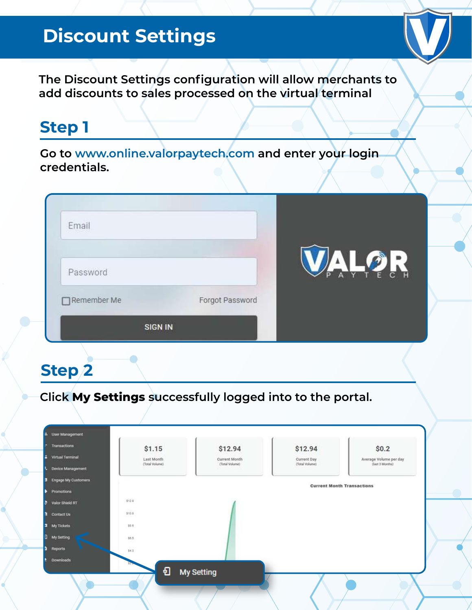# **Discount Settings**



**The Discount Settings configuration will allow merchants to add discounts to sales processed on the virtual terminal**

# **Step 1**

**Go to www.online.valorpaytech.com and enter your login credentials.**

| Email          |                 |                                           |
|----------------|-----------------|-------------------------------------------|
| Password       |                 | $\bigcap$<br>$\mathbf{R}$<br>Y<br>p.<br>A |
| Remember Me    | Forgot Password |                                           |
| <b>SIGN IN</b> |                 |                                           |

# **Step 2**

**Click My Settings successfully logged into to the portal.**

| Transactions        | \$1.15                       | \$12.94                         | \$12.94                       | \$0.2                                     |
|---------------------|------------------------------|---------------------------------|-------------------------------|-------------------------------------------|
| Virtual Terminal    | Last Month<br>(Total Volume) | Current Month<br>(Total Volume) | Current Day<br>(Total Volume) | Average Volume per day<br>(last 3 Months) |
| Device Management   |                              |                                 |                               |                                           |
| Engage My Cuntomers |                              |                                 |                               | <b>Current Month Transactions</b>         |
| Promotions          |                              |                                 |                               |                                           |
| Valor Shield RT     | 112.0                        |                                 |                               |                                           |
| Contact Us          | 510.8                        |                                 |                               |                                           |
| <b>3</b> My Tickets | 80.0                         |                                 |                               |                                           |
| My Setting          | sa a                         |                                 |                               |                                           |
| Reports             | $\overline{143}$             |                                 |                               |                                           |
| Downloads           |                              |                                 |                               |                                           |
|                     | €                            | <b>My Setting</b>               |                               |                                           |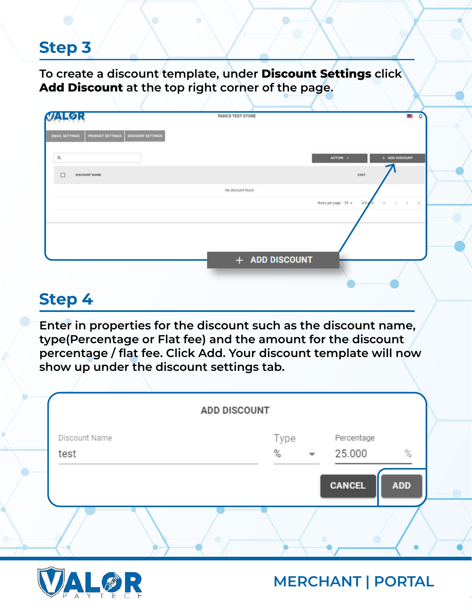**To create a discount template, under Discount Settings click Add Discount at the top right corner of the page.** 

| LØR                                                                   | <b>FADIL'S TEST STORE</b> | <b>All</b>                                |
|-----------------------------------------------------------------------|---------------------------|-------------------------------------------|
| <b>EMAIL SETTINGS</b><br>PRODUCT SETTINGS<br><b>DISCOUNT SETTINGS</b> |                           |                                           |
| $\alpha$                                                              |                           | + ADD DISCOUNT<br>ACTION -                |
| <b>DISCOUNT NAME</b><br>$\Box$                                        |                           | COST                                      |
|                                                                       | No discount found         | Rows per page $25 -$<br>$0 - 0 = 0$<br>3C |
|                                                                       |                           |                                           |
|                                                                       |                           |                                           |
|                                                                       |                           |                                           |
|                                                                       | + ADD DISCOUNT            |                                           |

## **Step 4**

**Enter in properties for the discount such as the discount name, type(Percentage or Flat fee) and the amount for the discount percentage / flat fee. Click Add. Your discount template will now show up under the discount settings tab.** 

|               | <b>ADD DISCOUNT</b>                                |
|---------------|----------------------------------------------------|
| Discount Name | Type<br>Percentage                                 |
| test          | $\%$<br>25.000<br>$\%$<br>$\overline{\phantom{a}}$ |
|               | <b>CANCEL</b><br><b>ADD</b>                        |

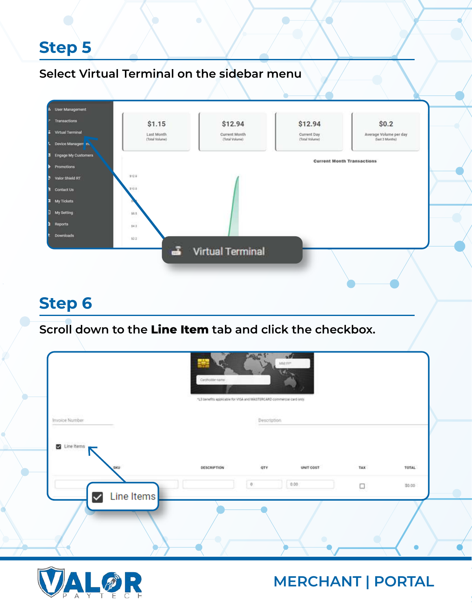#### **Select Virtual Terminal on the sidebar menu**



## **Step 6**

**Scroll down to the Line Item tab and click the checkbox.** 

|                            | Carpholdename | $-101$<br>MM/YV*<br>*L3 benefits applicable for VISA and MASTERCARD commercial card only. |     |        |
|----------------------------|---------------|-------------------------------------------------------------------------------------------|-----|--------|
| Invoice Number             |               | Description                                                                               |     |        |
| Line items<br>SKU          | DESCRIPTION   | OTY<br>UNIT COST                                                                          | TAX | TOTAL  |
| Line Items<br>$\checkmark$ |               | 0.00.<br>$\mathbf{0}$                                                                     | Ο   | \$0.00 |
|                            |               |                                                                                           |     | О      |

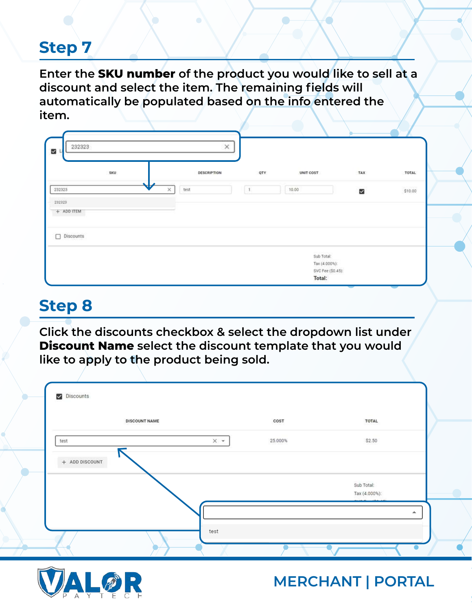**Enter the SKU number of the product you would like to sell at a discount and select the item. The remaining fields will automatically be populated based on the info entered the item.** 

|            | SKU |                 | DESCRIPTION | QTY | UNIT COST | TAX            | TOTAL   |
|------------|-----|-----------------|-------------|-----|-----------|----------------|---------|
| 232323     |     | w<br>test<br>x. |             | t   | 10.00     | $\blacksquare$ | \$10.00 |
| 232323     |     |                 |             |     |           |                |         |
| + ADD ITEM |     |                 |             |     |           |                |         |
| Discounts  |     |                 |             |     |           |                |         |

# **Step 8**

**Click the discounts checkbox & select the dropdown list under Discount Name select the discount template that you would like to apply to the product being sold.** 

| <b>DISCOUNT NAME</b> | COST                         | TOTAL                       |
|----------------------|------------------------------|-----------------------------|
| test                 | $\times$ $\times$<br>25.000% | \$2.50                      |
| $+$ ADD DISCOUNT     |                              | Sub Total:<br>Tax (4.000%): |
|                      |                              | ┻                           |